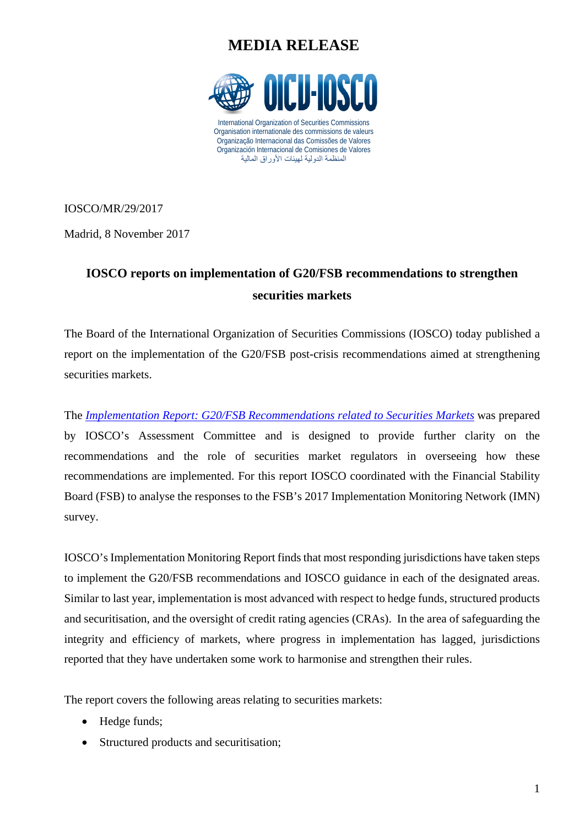## **MEDIA RELEASE**



IOSCO/MR/29/2017

Madrid, 8 November 2017

## **IOSCO reports on implementation of G20/FSB recommendations to strengthen securities markets**

The Board of the International Organization of Securities Commissions (IOSCO) today published a report on the implementation of the G20/FSB post-crisis recommendations aimed at strengthening securities markets.

The *[Implementation Report: G20/FSB Recommendations related to Securities Markets](https://www.iosco.org/library/pubdocs/pdf/IOSCOPD585.pdf)* was prepared by IOSCO's Assessment Committee and is designed to provide further clarity on the recommendations and the role of securities market regulators in overseeing how these recommendations are implemented. For this report IOSCO coordinated with the Financial Stability Board (FSB) to analyse the responses to the FSB's 2017 Implementation Monitoring Network (IMN) survey.

IOSCO's Implementation Monitoring Report finds that most responding jurisdictions have taken steps to implement the G20/FSB recommendations and IOSCO guidance in each of the designated areas. Similar to last year, implementation is most advanced with respect to hedge funds, structured products and securitisation, and the oversight of credit rating agencies (CRAs). In the area of safeguarding the integrity and efficiency of markets, where progress in implementation has lagged, jurisdictions reported that they have undertaken some work to harmonise and strengthen their rules.

The report covers the following areas relating to securities markets:

- Hedge funds;
- Structured products and securitisation;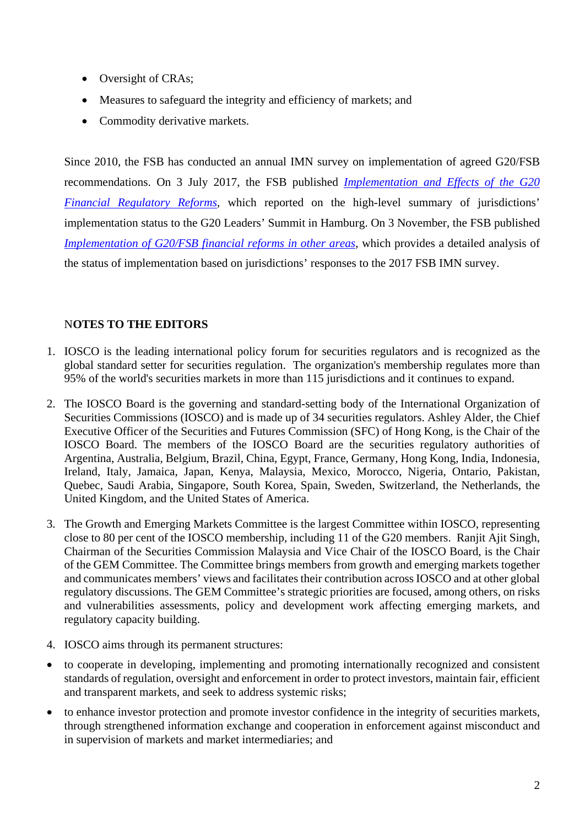- Oversight of CRAs;
- Measures to safeguard the integrity and efficiency of markets; and
- Commodity derivative markets.

Since 2010, the FSB has conducted an annual IMN survey on implementation of agreed G20/FSB recommendations. On 3 July 2017, the FSB published *[Implementation and Effects of the G20](http://www.fsb.org/2017/07/implementation-and-effects-of-the-g20-financial-regulatory-reforms-third-annual-report/)  [Financial Regulatory Reforms](http://www.fsb.org/2017/07/implementation-and-effects-of-the-g20-financial-regulatory-reforms-third-annual-report/)*, which reported on the high-level summary of jurisdictions' implementation status to the G20 Leaders' Summit in Hamburg. On 3 November, the FSB published *[Implementation of G20/FSB financial reforms in other areas](http://www.fsb.org/wp-content/uploads/IMN-summary-report-2017.pdf)*, which provides a detailed analysis of the status of implementation based on jurisdictions' responses to the 2017 FSB IMN survey.

## N**OTES TO THE EDITORS**

- 1. IOSCO is the leading international policy forum for securities regulators and is recognized as the global standard setter for securities regulation. The organization's membership regulates more than 95% of the world's securities markets in more than 115 jurisdictions and it continues to expand.
- 2. The IOSCO Board is the governing and standard-setting body of the International Organization of Securities Commissions (IOSCO) and is made up of 34 securities regulators. Ashley Alder, the Chief Executive Officer of the Securities and Futures Commission (SFC) of Hong Kong, is the Chair of the IOSCO Board. The members of the IOSCO Board are the securities regulatory authorities of Argentina, Australia, Belgium, Brazil, China, Egypt, France, Germany, Hong Kong, India, Indonesia, Ireland, Italy, Jamaica, Japan, Kenya, Malaysia, Mexico, Morocco, Nigeria, Ontario, Pakistan, Quebec, Saudi Arabia, Singapore, South Korea, Spain, Sweden, Switzerland, the Netherlands, the United Kingdom, and the United States of America.
- 3. The Growth and Emerging Markets Committee is the largest Committee within IOSCO, representing close to 80 per cent of the IOSCO membership, including 11 of the G20 members. Ranjit Ajit Singh, Chairman of the Securities Commission Malaysia and Vice Chair of the IOSCO Board, is the Chair of the GEM Committee. The Committee brings members from growth and emerging markets together and communicates members' views and facilitates their contribution across IOSCO and at other global regulatory discussions. The GEM Committee's strategic priorities are focused, among others, on risks and vulnerabilities assessments, policy and development work affecting emerging markets, and regulatory capacity building.
- 4. IOSCO aims through its permanent structures:
- to cooperate in developing, implementing and promoting internationally recognized and consistent standards of regulation, oversight and enforcement in order to protect investors, maintain fair, efficient and transparent markets, and seek to address systemic risks;
- to enhance investor protection and promote investor confidence in the integrity of securities markets, through strengthened information exchange and cooperation in enforcement against misconduct and in supervision of markets and market intermediaries; and